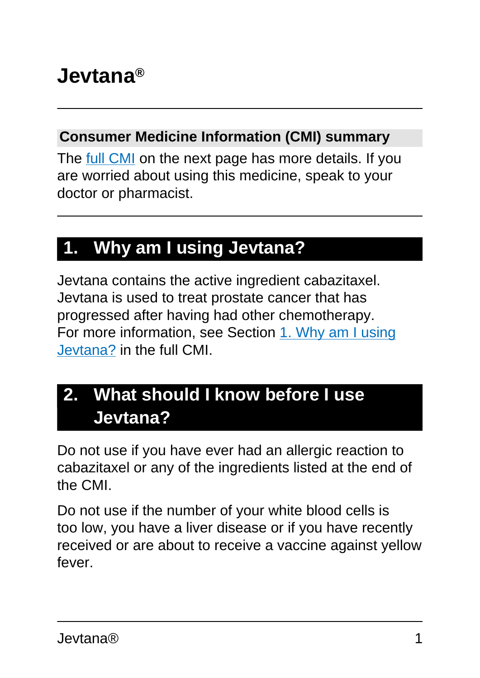# **Jevtana®**

#### **Consumer Medicine Information (CMI) summary**

The [full CMI](#page-4-0) on the next page has more details. If you are worried about using this medicine, speak to your doctor or pharmacist.

### **1. Why am I using Jevtana?**

Jevtana contains the active ingredient cabazitaxel. Jevtana is used to treat prostate cancer that has progressed after having had other chemotherapy. For more information, see Section [1. Why am I using](#page-4-0) [Jevtana?](#page-4-0) in the full CMI.

### **2. What should I know before I use Jevtana?**

Do not use if you have ever had an allergic reaction to cabazitaxel or any of the ingredients listed at the end of the CMI.

Do not use if the number of your white blood cells is too low, you have a liver disease or if you have recently received or are about to receive a vaccine against yellow fever.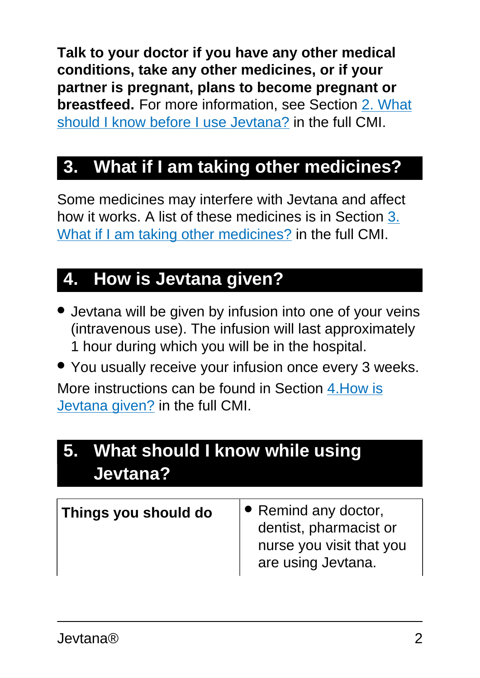**Talk to your doctor if you have any other medical conditions, take any other medicines, or if your partner is pregnant, plans to become pregnant or breastfeed.** For more information, see Section [2. What](#page-4-1) [should I know before I use Jevtana?](#page-4-1) in the full CMI.

## **3. What if I am taking other medicines?**

Some medicines may interfere with Jevtana and affect how it works. A list of these medicines is in Section [3.](#page-7-0) [What if I am taking other medicines?](#page-7-0) in the full CMI.

## **4. How is Jevtana given?**

- Jevtana will be given by infusion into one of your veins (intravenous use). The infusion will last approximately 1 hour during which you will be in the hospital.
- You usually receive your infusion once every 3 weeks.

More instructions can be found in Section [4.How is](#page-8-0) [Jevtana given?](#page-8-0) in the full CMI.

## **5. What should I know while using Jevtana?**

| <b>Things you should do</b> | $\triangleright$ Remind any doctor,<br>dentist, pharmacist or<br>nurse you visit that you |
|-----------------------------|-------------------------------------------------------------------------------------------|
|                             | are using Jevtana.                                                                        |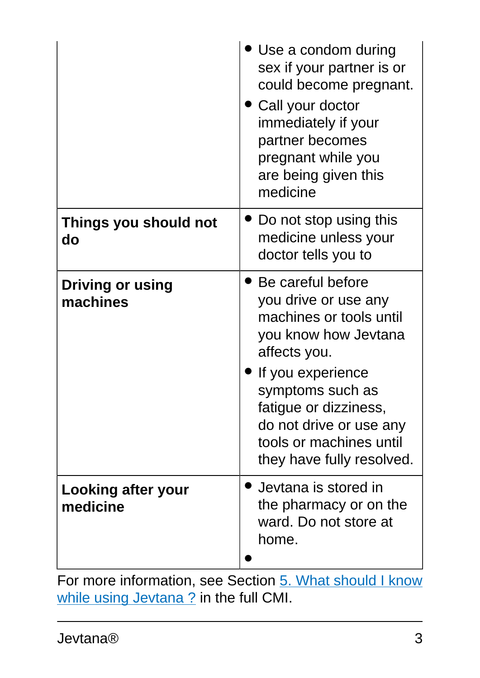|                                     | Use a condom during<br>sex if your partner is or<br>could become pregnant.<br>Call your doctor<br>immediately if your<br>partner becomes<br>pregnant while you<br>are being given this<br>medicine                                                                          |
|-------------------------------------|-----------------------------------------------------------------------------------------------------------------------------------------------------------------------------------------------------------------------------------------------------------------------------|
| Things you should not<br>do         | Do not stop using this<br>medicine unless your<br>doctor tells you to                                                                                                                                                                                                       |
| <b>Driving or using</b><br>machines | $\bullet$ Be careful before<br>you drive or use any<br>machines or tools until<br>you know how Jevtana<br>affects you.<br>If you experience<br>symptoms such as<br>fatigue or dizziness,<br>do not drive or use any<br>tools or machines until<br>they have fully resolved. |
| Looking after your<br>medicine      | Jevtana is stored in<br>the pharmacy or on the<br>ward. Do not store at<br>home.                                                                                                                                                                                            |

For more information, see Section [5. What should I know](#page-10-0) [while using Jevtana ?](#page-10-0) in the full CMI.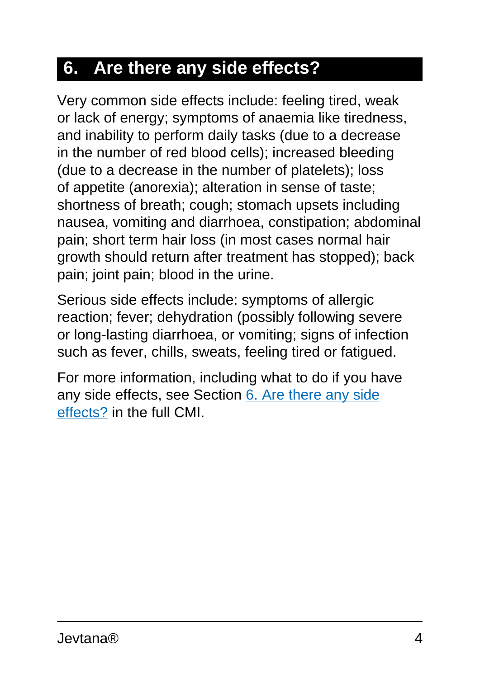## **6. Are there any side effects?**

Very common side effects include: feeling tired, weak or lack of energy; symptoms of anaemia like tiredness, and inability to perform daily tasks (due to a decrease in the number of red blood cells); increased bleeding (due to a decrease in the number of platelets); loss of appetite (anorexia); alteration in sense of taste; shortness of breath; cough; stomach upsets including nausea, vomiting and diarrhoea, constipation; abdominal pain; short term hair loss (in most cases normal hair growth should return after treatment has stopped); back pain; joint pain; blood in the urine.

Serious side effects include: symptoms of allergic reaction; fever; dehydration (possibly following severe or long-lasting diarrhoea, or vomiting; signs of infection such as fever, chills, sweats, feeling tired or fatigued.

For more information, including what to do if you have any side effects, see Section [6. Are there any side](#page-11-0) [effects?](#page-11-0) in the full CMI.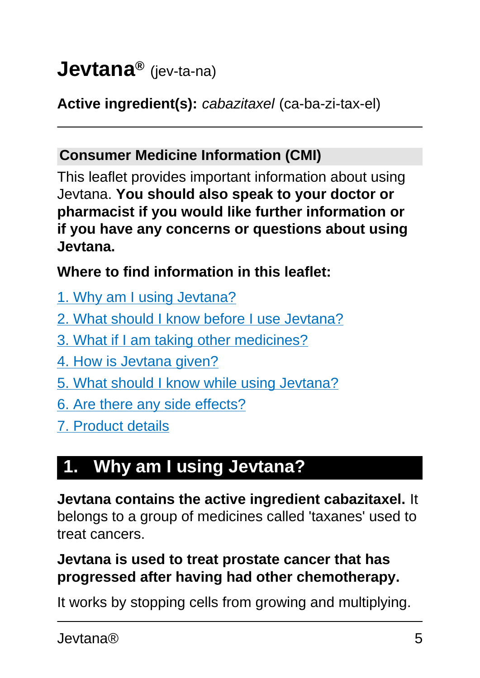# <span id="page-4-0"></span>**Jevtana®** (jev-ta-na)

#### **Active ingredient(s):** cabazitaxel (ca-ba-zi-tax-el)

#### **Consumer Medicine Information (CMI)**

This leaflet provides important information about using Jevtana. **You should also speak to your doctor or pharmacist if you would like further information or if you have any concerns or questions about using Jevtana.**

#### **Where to find information in this leaflet:**

- [1. Why am I using Jevtana?](#page-4-2)
- [2. What should I know before I use Jevtana?](#page-4-1)
- [3. What if I am taking other medicines?](#page-7-0)
- [4. How is Jevtana given?](#page-8-0)
- [5. What should I know while using Jevtana?](#page-10-0)
- [6. Are there any side effects?](#page-11-0)
- [7. Product details](#page-16-0)

## <span id="page-4-2"></span>**1. Why am I using Jevtana?**

**Jevtana contains the active ingredient cabazitaxel.** It belongs to a group of medicines called 'taxanes' used to treat cancers.

#### **Jevtana is used to treat prostate cancer that has progressed after having had other chemotherapy.**

<span id="page-4-1"></span>It works by stopping cells from growing and multiplying.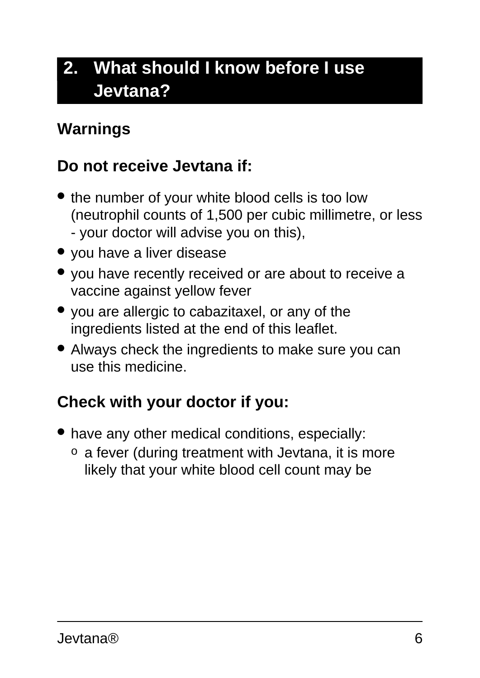## **2. What should I know before I use Jevtana?**

#### **Warnings**

#### **Do not receive Jevtana if:**

- the number of your white blood cells is too low (neutrophil counts of 1,500 per cubic millimetre, or less - your doctor will advise you on this),
- you have a liver disease
- you have recently received or are about to receive a vaccine against yellow fever
- you are allergic to cabazitaxel, or any of the ingredients listed at the end of this leaflet.
- Always check the ingredients to make sure you can use this medicine.

### **Check with your doctor if you:**

- have any other medical conditions, especially:
	- $\circ$  a fever (during treatment with Jevtana, it is more likely that your white blood cell count may be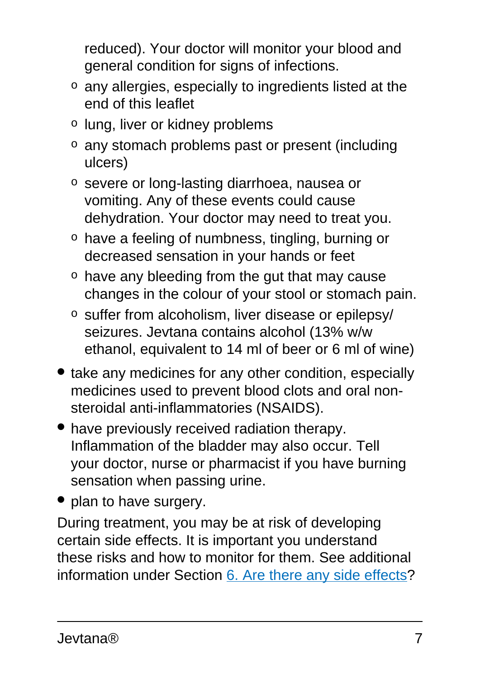reduced). Your doctor will monitor your blood and general condition for signs of infections.

- o any allergies, especially to ingredients listed at the end of this leaflet
- o lung, liver or kidney problems
- o any stomach problems past or present (including ulcers)
- o severe or long-lasting diarrhoea, nausea or vomiting. Any of these events could cause dehydration. Your doctor may need to treat you.
- o have a feeling of numbness, tingling, burning or decreased sensation in your hands or feet
- o have any bleeding from the gut that may cause changes in the colour of your stool or stomach pain.
- o suffer from alcoholism, liver disease or epilepsy/ seizures. Jevtana contains alcohol (13% w/w ethanol, equivalent to 14 ml of beer or 6 ml of wine)
- take any medicines for any other condition, especially medicines used to prevent blood clots and oral nonsteroidal anti-inflammatories (NSAIDS).
- have previously received radiation therapy. Inflammation of the bladder may also occur. Tell your doctor, nurse or pharmacist if you have burning sensation when passing urine.
- plan to have surgery.

During treatment, you may be at risk of developing certain side effects. It is important you understand these risks and how to monitor for them. See additional information under Section [6. Are there any side effects](#page-11-0)?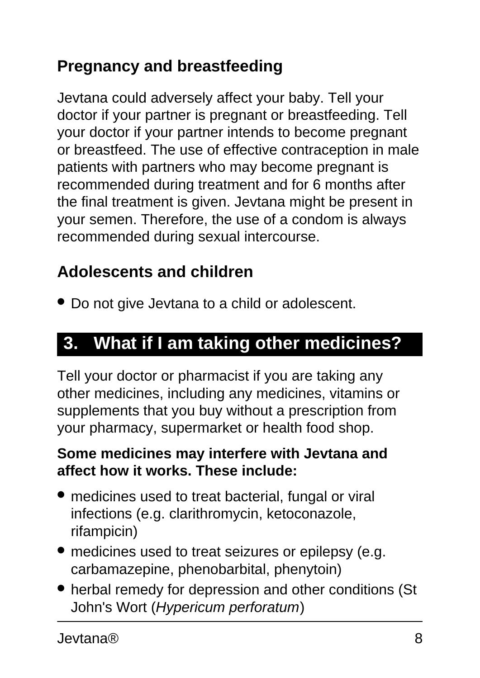### **Pregnancy and breastfeeding**

Jevtana could adversely affect your baby. Tell your doctor if your partner is pregnant or breastfeeding. Tell your doctor if your partner intends to become pregnant or breastfeed. The use of effective contraception in male patients with partners who may become pregnant is recommended during treatment and for 6 months after the final treatment is given. Jevtana might be present in your semen. Therefore, the use of a condom is always recommended during sexual intercourse.

### **Adolescents and children**

• Do not give Jevtana to a child or adolescent.

### <span id="page-7-0"></span>**3. What if I am taking other medicines?**

Tell your doctor or pharmacist if you are taking any other medicines, including any medicines, vitamins or supplements that you buy without a prescription from your pharmacy, supermarket or health food shop.

#### **Some medicines may interfere with Jevtana and affect how it works. These include:**

- medicines used to treat bacterial, fungal or viral infections (e.g. clarithromycin, ketoconazole, rifampicin)
- medicines used to treat seizures or epilepsy (e.g. carbamazepine, phenobarbital, phenytoin)
- herbal remedy for depression and other conditions (St John's Wort (Hypericum perforatum)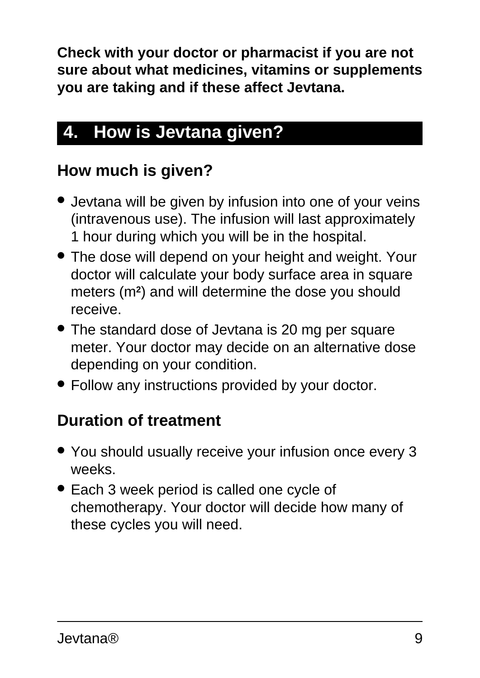**Check with your doctor or pharmacist if you are not sure about what medicines, vitamins or supplements you are taking and if these affect Jevtana.**

## <span id="page-8-0"></span>**4. How is Jevtana given?**

### **How much is given?**

- Jevtana will be given by infusion into one of your veins (intravenous use). The infusion will last approximately 1 hour during which you will be in the hospital.
- The dose will depend on your height and weight. Your doctor will calculate your body surface area in square meters (m**<sup>2</sup>** ) and will determine the dose you should receive.
- The standard dose of Jevtana is 20 mg per square meter. Your doctor may decide on an alternative dose depending on your condition.
- Follow any instructions provided by your doctor.

### **Duration of treatment**

- You should usually receive your infusion once every 3 weeks.
- Each 3 week period is called one cycle of chemotherapy. Your doctor will decide how many of these cycles you will need.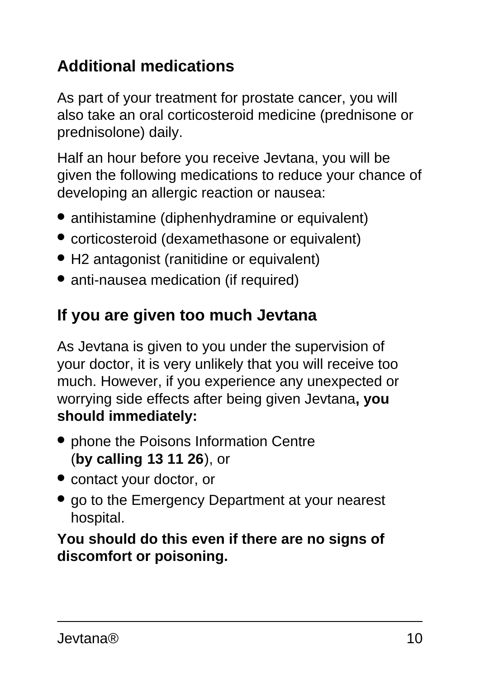### **Additional medications**

As part of your treatment for prostate cancer, you will also take an oral corticosteroid medicine (prednisone or prednisolone) daily.

Half an hour before you receive Jevtana, you will be given the following medications to reduce your chance of developing an allergic reaction or nausea:

- antihistamine (diphenhydramine or equivalent)
- corticosteroid (dexamethasone or equivalent)
- H2 antagonist (ranitidine or equivalent)
- anti-nausea medication (if required)

#### **If you are given too much Jevtana**

As Jevtana is given to you under the supervision of your doctor, it is very unlikely that you will receive too much. However, if you experience any unexpected or worrying side effects after being given Jevtana**, you should immediately:**

- phone the Poisons Information Centre (**by calling 13 11 26**), or
- contact your doctor, or
- go to the Emergency Department at your nearest hospital.

**You should do this even if there are no signs of discomfort or poisoning.**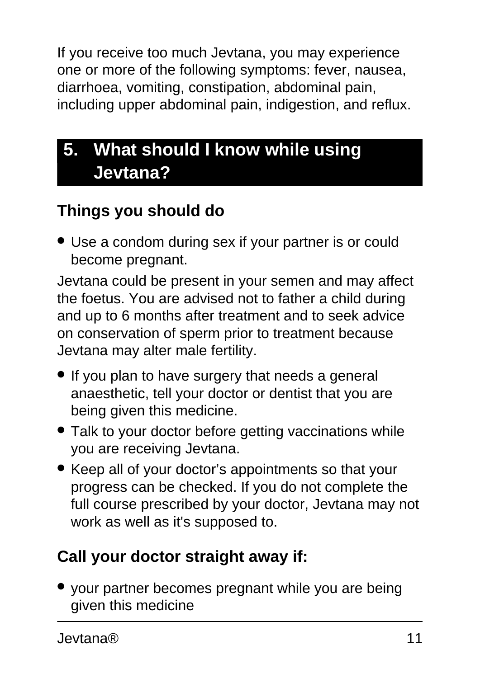If you receive too much Jevtana, you may experience one or more of the following symptoms: fever, nausea, diarrhoea, vomiting, constipation, abdominal pain, including upper abdominal pain, indigestion, and reflux.

## <span id="page-10-0"></span>**5. What should I know while using Jevtana?**

### **Things you should do**

• Use a condom during sex if your partner is or could become pregnant.

Jevtana could be present in your semen and may affect the foetus. You are advised not to father a child during and up to 6 months after treatment and to seek advice on conservation of sperm prior to treatment because Jevtana may alter male fertility.

- If you plan to have surgery that needs a general anaesthetic, tell your doctor or dentist that you are being given this medicine.
- Talk to your doctor before getting vaccinations while you are receiving Jevtana.
- Keep all of your doctor's appointments so that your progress can be checked. If you do not complete the full course prescribed by your doctor, Jevtana may not work as well as it's supposed to.

## **Call your doctor straight away if:**

● your partner becomes pregnant while you are being given this medicine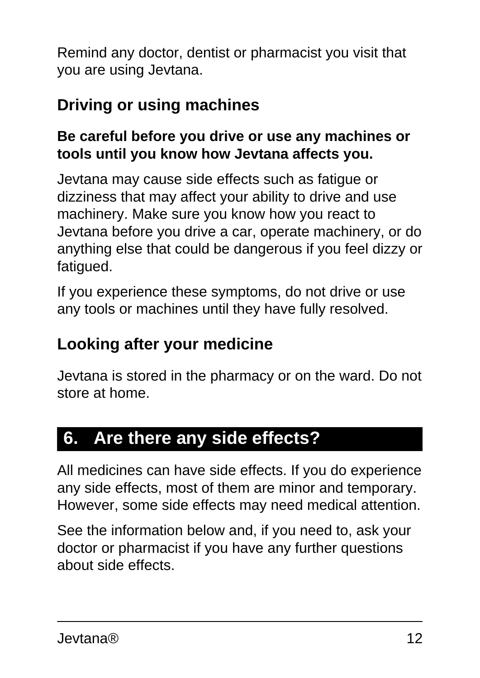Remind any doctor, dentist or pharmacist you visit that you are using Jevtana.

### **Driving or using machines**

#### **Be careful before you drive or use any machines or tools until you know how Jevtana affects you.**

Jevtana may cause side effects such as fatigue or dizziness that may affect your ability to drive and use machinery. Make sure you know how you react to Jevtana before you drive a car, operate machinery, or do anything else that could be dangerous if you feel dizzy or fatigued.

If you experience these symptoms, do not drive or use any tools or machines until they have fully resolved.

#### **Looking after your medicine**

Jevtana is stored in the pharmacy or on the ward. Do not store at home.

### <span id="page-11-0"></span>**6. Are there any side effects?**

All medicines can have side effects. If you do experience any side effects, most of them are minor and temporary. However, some side effects may need medical attention.

See the information below and, if you need to, ask your doctor or pharmacist if you have any further questions about side effects.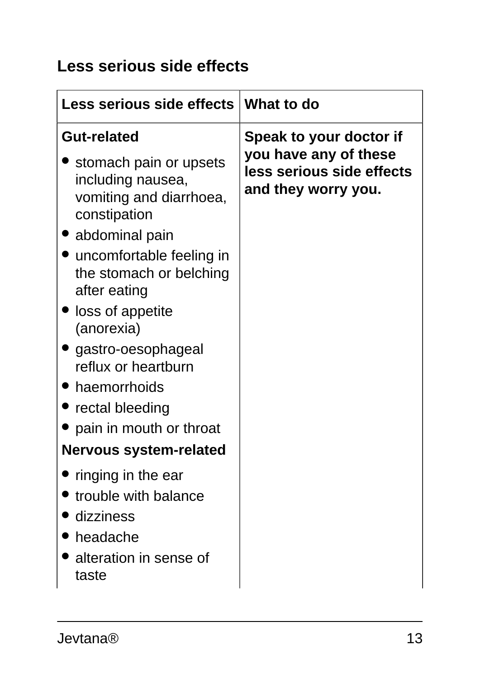### **Less serious side effects**

| Less serious side effects   What to do                                                                                                                                                                                                                                                                                                                                                |                                                                                                      |
|---------------------------------------------------------------------------------------------------------------------------------------------------------------------------------------------------------------------------------------------------------------------------------------------------------------------------------------------------------------------------------------|------------------------------------------------------------------------------------------------------|
| <b>Gut-related</b><br>stomach pain or upsets<br>including nausea,<br>vomiting and diarrhoea,<br>constipation<br>abdominal pain<br>uncomfortable feeling in<br>the stomach or belching<br>after eating<br>loss of appetite<br>(anorexia)<br>• gastro-oesophageal<br>reflux or heartburn<br>haemorrhoids<br>rectal bleeding<br>pain in mouth or throat<br><b>Nervous system-related</b> | Speak to your doctor if<br>you have any of these<br>less serious side effects<br>and they worry you. |
| ringing in the ear<br>trouble with balance                                                                                                                                                                                                                                                                                                                                            |                                                                                                      |
| dizziness<br>headache<br>alteration in sense of<br>taste                                                                                                                                                                                                                                                                                                                              |                                                                                                      |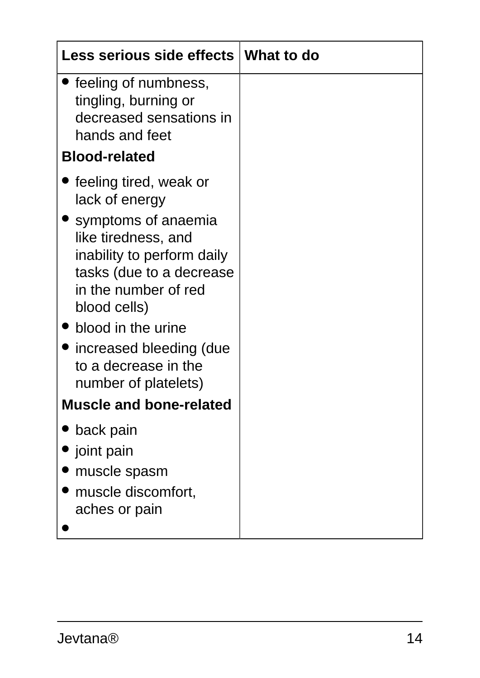| Less serious side effects   What to do                                                                                                                                                                                                                                                    |  |
|-------------------------------------------------------------------------------------------------------------------------------------------------------------------------------------------------------------------------------------------------------------------------------------------|--|
| feeling of numbness,<br>tingling, burning or<br>decreased sensations in<br>hands and feet                                                                                                                                                                                                 |  |
| <b>Blood-related</b>                                                                                                                                                                                                                                                                      |  |
| feeling tired, weak or<br>lack of energy<br>symptoms of anaemia<br>like tiredness, and<br>inability to perform daily<br>tasks (due to a decrease<br>in the number of red<br>blood cells)<br>blood in the urine<br>increased bleeding (due<br>to a decrease in the<br>number of platelets) |  |
| <b>Muscle and bone-related</b>                                                                                                                                                                                                                                                            |  |
| back pain<br>joint pain<br>muscle spasm<br>muscle discomfort,<br>aches or pain                                                                                                                                                                                                            |  |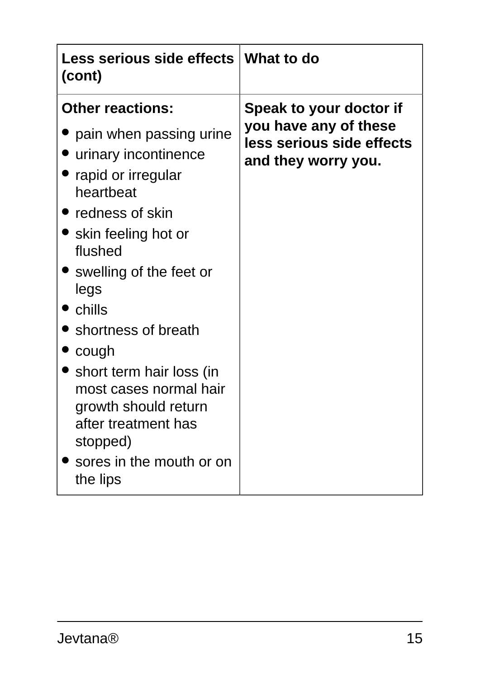| Less serious side effects   What to do<br>(cont)                                                                                                                                                                                                                                                                                                                                                                               |                                                                                                      |
|--------------------------------------------------------------------------------------------------------------------------------------------------------------------------------------------------------------------------------------------------------------------------------------------------------------------------------------------------------------------------------------------------------------------------------|------------------------------------------------------------------------------------------------------|
| <b>Other reactions:</b><br>pain when passing urine<br>• urinary incontinence<br>rapid or irregular<br>heartbeat<br>• redness of skin<br>• skin feeling hot or<br>flushed<br>• swelling of the feet or<br>legs<br>$\bullet$ chills<br>• shortness of breath<br>cough<br>• short term hair loss (in<br>most cases normal hair<br>growth should return<br>after treatment has<br>stopped)<br>sores in the mouth or on<br>the lips | Speak to your doctor if<br>you have any of these<br>less serious side effects<br>and they worry you. |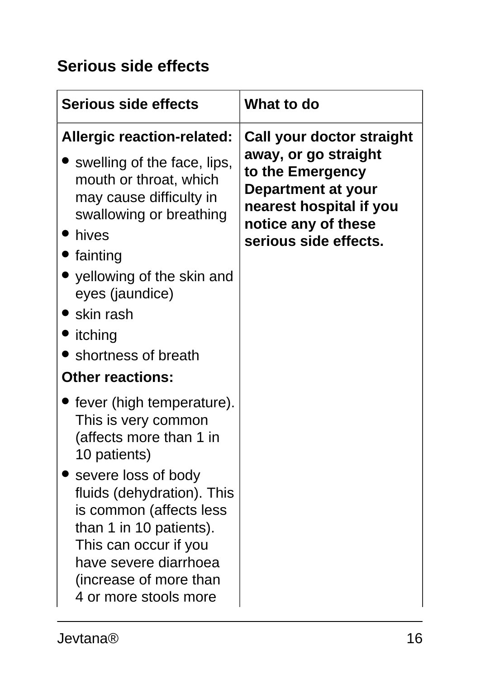### **Serious side effects**

| <b>Serious side effects</b>                                                                                                                                                                                                                                                                                     | What to do                                                                                                                                                             |
|-----------------------------------------------------------------------------------------------------------------------------------------------------------------------------------------------------------------------------------------------------------------------------------------------------------------|------------------------------------------------------------------------------------------------------------------------------------------------------------------------|
| <b>Allergic reaction-related:</b><br>• swelling of the face, lips,<br>mouth or throat, which<br>may cause difficulty in<br>swallowing or breathing<br>hives<br>fainting<br>• yellowing of the skin and<br>eyes (jaundice)<br>$\bullet$ skin rash<br>itching<br>• shortness of breath<br><b>Other reactions:</b> | Call your doctor straight<br>away, or go straight<br>to the Emergency<br>Department at your<br>nearest hospital if you<br>notice any of these<br>serious side effects. |
| fever (high temperature).<br>This is very common<br>(affects more than 1 in<br>10 patients)<br>severe loss of body<br>fluids (dehydration). This<br>is common (affects less<br>than 1 in 10 patients).<br>This can occur if you<br>have severe diarrhoea<br>(increase of more than<br>4 or more stools more     |                                                                                                                                                                        |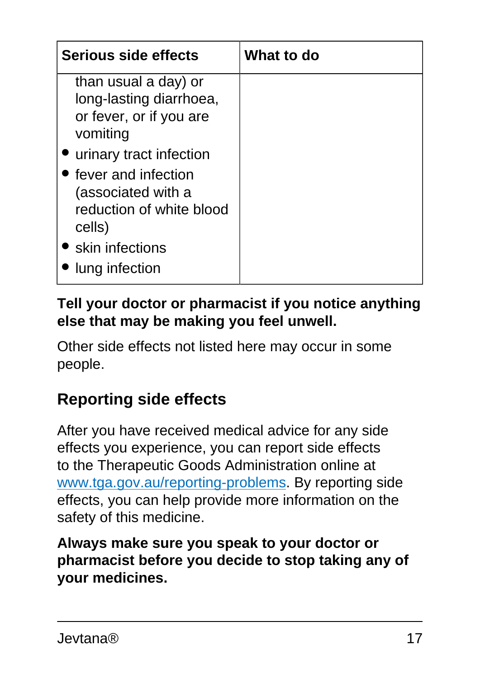| Serious side effects                                                                                                                                  | What to do |
|-------------------------------------------------------------------------------------------------------------------------------------------------------|------------|
| than usual a day) or<br>long-lasting diarrhoea,<br>or fever, or if you are<br>vomiting                                                                |            |
| • urinary tract infection<br>• fever and infection<br>(associated with a<br>reduction of white blood<br>cells)<br>• skin infections<br>lung infection |            |

#### **Tell your doctor or pharmacist if you notice anything else that may be making you feel unwell.**

Other side effects not listed here may occur in some people.

#### **Reporting side effects**

After you have received medical advice for any side effects you experience, you can report side effects to the Therapeutic Goods Administration online at [www.tga.gov.au/reporting-problems.](http://www.tga.gov.au/reporting-problems) By reporting side effects, you can help provide more information on the safety of this medicine.

<span id="page-16-0"></span>**Always make sure you speak to your doctor or pharmacist before you decide to stop taking any of your medicines.**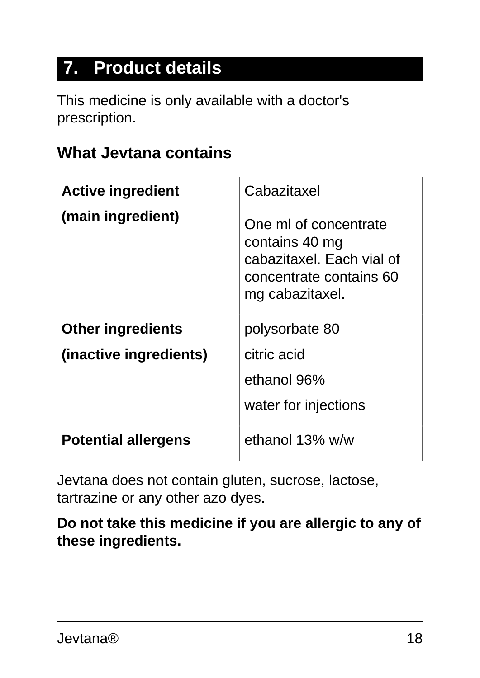## **7. Product details**

This medicine is only available with a doctor's prescription.

#### **What Jevtana contains**

| <b>Active ingredient</b>   | Cabazitaxel                                                                                                        |
|----------------------------|--------------------------------------------------------------------------------------------------------------------|
| (main ingredient)          | One ml of concentrate<br>contains 40 mg<br>cabazitaxel. Each vial of<br>concentrate contains 60<br>mg cabazitaxel. |
| <b>Other ingredients</b>   | polysorbate 80                                                                                                     |
| (inactive ingredients)     | citric acid                                                                                                        |
|                            | ethanol 96%                                                                                                        |
|                            | water for injections                                                                                               |
| <b>Potential allergens</b> | ethanol 13% w/w                                                                                                    |

Jevtana does not contain gluten, sucrose, lactose, tartrazine or any other azo dyes.

**Do not take this medicine if you are allergic to any of these ingredients.**